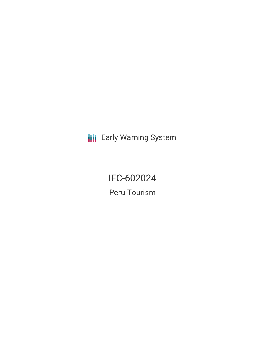**III** Early Warning System

IFC-602024 Peru Tourism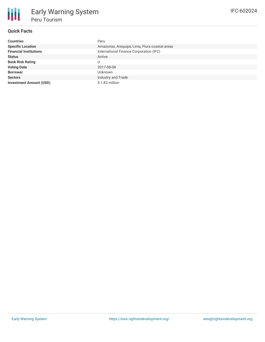

## **Quick Facts**

| <b>Countries</b>               | Peru                                          |
|--------------------------------|-----------------------------------------------|
| <b>Specific Location</b>       | Amazonas, Arequipa, Lima, Piura coastal areas |
| <b>Financial Institutions</b>  | International Finance Corporation (IFC)       |
| <b>Status</b>                  | Active                                        |
| <b>Bank Risk Rating</b>        | U                                             |
| <b>Voting Date</b>             | 2017-08-08                                    |
| <b>Borrower</b>                | <b>Unknown</b>                                |
| <b>Sectors</b>                 | Industry and Trade                            |
| <b>Investment Amount (USD)</b> | $$1.83$ million                               |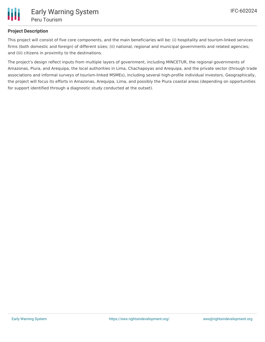

## **Project Description**

This project will consist of five core components, and the main beneficiaries will be: (i) hospitality and tourism-linked services firms (both domestic and foreign) of different sizes; (ii) national, regional and municipal governments and related agencies; and (iii) citizens in proximity to the destinations.

The project's design reflect inputs from multiple layers of government, including MINCETUR, the regional governments of Amazonas, Piura, and Arequipa, the local authorities in Lima, Chachapoyas and Arequipa, and the private sector (through trade associations and informal surveys of tourism-linked MSMEs), including several high-profile individual investors. Geographically, the project will focus its efforts in Amazonas, Arequipa, Lima, and possibly the Piura coastal areas (depending on opportunities for support identified through a diagnostic study conducted at the outset).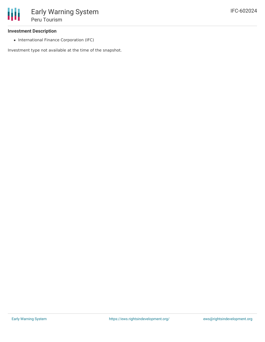## **Investment Description**

• International Finance Corporation (IFC)

Investment type not available at the time of the snapshot.